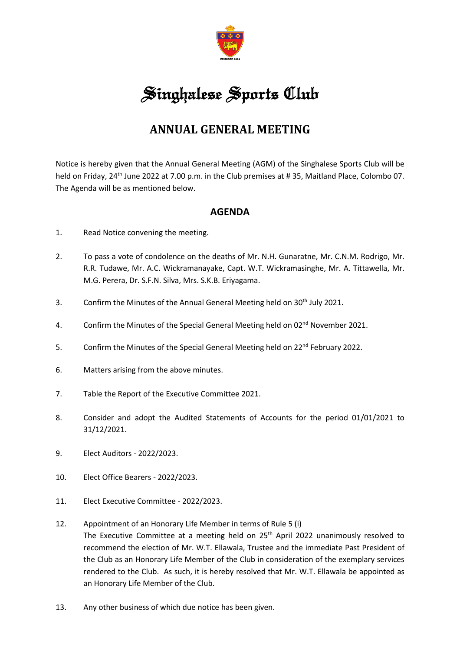

## Singhalese Sports Club

## **ANNUAL GENERAL MEETING**

Notice is hereby given that the Annual General Meeting (AGM) of the Singhalese Sports Club will be held on Friday, 24<sup>th</sup> June 2022 at 7.00 p.m. in the Club premises at #35, Maitland Place, Colombo 07. The Agenda will be as mentioned below.

## **AGENDA**

- 1. Read Notice convening the meeting.
- 2. To pass a vote of condolence on the deaths of Mr. N.H. Gunaratne, Mr. C.N.M. Rodrigo, Mr. R.R. Tudawe, Mr. A.C. Wickramanayake, Capt. W.T. Wickramasinghe, Mr. A. Tittawella, Mr. M.G. Perera, Dr. S.F.N. Silva, Mrs. S.K.B. Eriyagama.
- 3. Confirm the Minutes of the Annual General Meeting held on 30<sup>th</sup> July 2021.
- 4. Confirm the Minutes of the Special General Meeting held on 02<sup>nd</sup> November 2021.
- 5. Confirm the Minutes of the Special General Meeting held on 22<sup>nd</sup> February 2022.
- 6. Matters arising from the above minutes.
- 7. Table the Report of the Executive Committee 2021.
- 8. Consider and adopt the Audited Statements of Accounts for the period 01/01/2021 to 31/12/2021.
- 9. Elect Auditors 2022/2023.
- 10. Elect Office Bearers 2022/2023.
- 11. Elect Executive Committee 2022/2023.
- 12. Appointment of an Honorary Life Member in terms of Rule 5 (i) The Executive Committee at a meeting held on 25<sup>th</sup> April 2022 unanimously resolved to recommend the election of Mr. W.T. Ellawala, Trustee and the immediate Past President of the Club as an Honorary Life Member of the Club in consideration of the exemplary services rendered to the Club. As such, it is hereby resolved that Mr. W.T. Ellawala be appointed as an Honorary Life Member of the Club.
- 13. Any other business of which due notice has been given.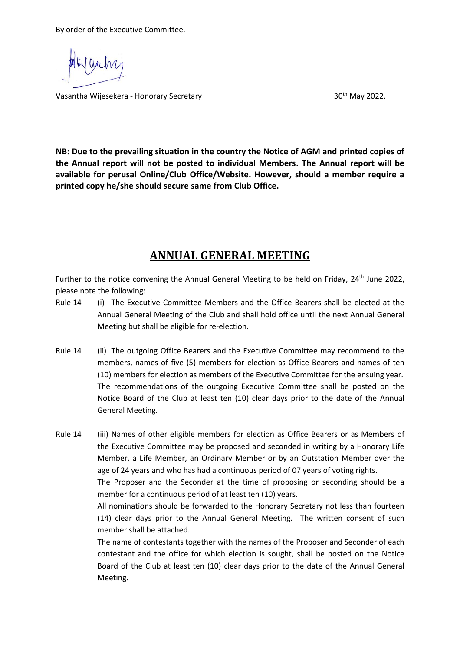By order of the Executive Committee.

Vasantha Wijesekera - Honorary Secretary 30th May 2022.

**NB: Due to the prevailing situation in the country the Notice of AGM and printed copies of the Annual report will not be posted to individual Members. The Annual report will be available for perusal Online/Club Office/Website. However, should a member require a printed copy he/she should secure same from Club Office.**

## **ANNUAL GENERAL MEETING**

Further to the notice convening the Annual General Meeting to be held on Friday, 24<sup>th</sup> June 2022, please note the following:

- Rule 14 (i) The Executive Committee Members and the Office Bearers shall be elected at the Annual General Meeting of the Club and shall hold office until the next Annual General Meeting but shall be eligible for re-election.
- Rule 14 (ii) The outgoing Office Bearers and the Executive Committee may recommend to the members, names of five (5) members for election as Office Bearers and names of ten (10) members for election as members of the Executive Committee for the ensuing year. The recommendations of the outgoing Executive Committee shall be posted on the Notice Board of the Club at least ten (10) clear days prior to the date of the Annual General Meeting.

Rule 14 (iii) Names of other eligible members for election as Office Bearers or as Members of the Executive Committee may be proposed and seconded in writing by a Honorary Life Member, a Life Member, an Ordinary Member or by an Outstation Member over the age of 24 years and who has had a continuous period of 07 years of voting rights.

> The Proposer and the Seconder at the time of proposing or seconding should be a member for a continuous period of at least ten (10) years.

> All nominations should be forwarded to the Honorary Secretary not less than fourteen (14) clear days prior to the Annual General Meeting. The written consent of such member shall be attached.

> The name of contestants together with the names of the Proposer and Seconder of each contestant and the office for which election is sought, shall be posted on the Notice Board of the Club at least ten (10) clear days prior to the date of the Annual General Meeting.